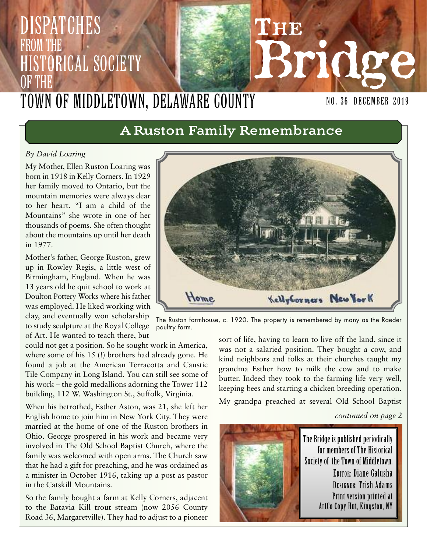# **THE Bridge DISPATCHES** FROM THE Historical Society OF THE TOWN OF MIDDLETOWN, DELAWARE COUNTY

poultry farm.

# **A Ruston Family Remembrance**

#### *By David Loaring*

My Mother, Ellen Ruston Loaring was born in 1918 in Kelly Corners. In 1929 her family moved to Ontario, but the mountain memories were always dear to her heart. "I am a child of the Mountains" she wrote in one of her thousands of poems. She often thought about the mountains up until her death in 1977.

Mother's father, George Ruston, grew up in Rowley Regis, a little west of Birmingham, England. When he was 13 years old he quit school to work at Doulton Pottery Works where his father was employed. He liked working with clay, and eventually won scholarship to study sculpture at the Royal College of Art. He wanted to teach there, but

could not get a position. So he sought work in America, where some of his 15 (!) brothers had already gone. He found a job at the American Terracotta and Caustic Tile Company in Long Island. You can still see some of his work – the gold medallions adorning the Tower 112 building, 112 W. Washington St., Suffolk, Virginia.

When his betrothed, Esther Aston, was 21, she left her English home to join him in New York City. They were married at the home of one of the Ruston brothers in Ohio. George prospered in his work and became very involved in The Old School Baptist Church, where the family was welcomed with open arms. The Church saw that he had a gift for preaching, and he was ordained as a minister in October 1916, taking up a post as pastor in the Catskill Mountains.

So the family bought a farm at Kelly Corners, adjacent to the Batavia Kill trout stream (now 2056 County Road 36, Margaretville). They had to adjust to a pioneer

sort of life, having to learn to live off the land, since it was not a salaried position. They bought a cow, and kind neighbors and folks at their churches taught my grandma Esther how to milk the cow and to make butter. Indeed they took to the farming life very well, keeping bees and starting a chicken breeding operation. My grandpa preached at several Old School Baptist

*continued on page 2*

NO. 36 December 2019





The Ruston farmhouse, c. 1920. The property is remembered by many as the Raeder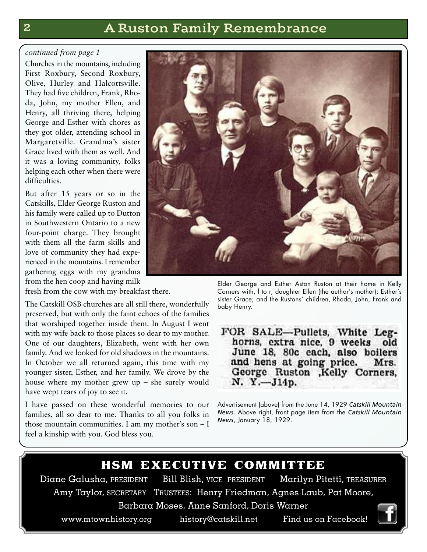# **2 A Ruston Family Remembrance**

#### *continued from page 1*

Churches in the mountains, including First Roxbury, Second Roxbury, Olive, Hurley and Halcottsville. They had five children, Frank, Rhoda, John, my mother Ellen, and Henry, all thriving there, helping George and Esther with chores as they got older, attending school in Margaretville. Grandma's sister Grace lived with them as well. And it was a loving community, folks helping each other when there were difficulties.

But after 15 years or so in the Catskills, Elder George Ruston and his family were called up to Dutton in Southwestern Ontario to a new four-point charge. They brought with them all the farm skills and love of community they had experienced in the mountains. I remember gathering eggs with my grandma from the hen coop and having milk

fresh from the cow with my breakfast there.

The Catskill OSB churches are all still there, wonderfully preserved, but with only the faint echoes of the families that worshiped together inside them. In August I went with my wife back to those places so dear to my mother. One of our daughters, Elizabeth, went with her own family. And we looked for old shadows in the mountains. In October we all returned again, this time with my younger sister, Esther, and her family. We drove by the house where my mother grew up – she surely would have wept tears of joy to see it.

I have passed on these wonderful memories to our families, all so dear to me. Thanks to all you folks in those mountain communities. I am my mother's son – I feel a kinship with you. God bless you.



Elder George and Esther Aston Ruston at their home in Kelly Corners with, l to r, daughter Ellen (the author's mother); Esther's sister Grace; and the Rustons' children, Rhoda, John, Frank and baby Henry.

FOR SALE-Pullets, White Leghorns, extra nice, 9 weeks old June 18, 80c each, also boilers and hens at going price. Mrs. George Ruston , Kelly Corners, N. Y.-J14p.

Advertisement (above) from the June 14, 1929 *Catskill Mountain News.* Above right, front page item from the *Catskill Mountain News*, January 18, 1929.

## hsm executive committee

Diane Galusha, PRESIDENT Bill Blish, VICE PRESIDENT Marilyn Pitetti, TREASURER Amy Taylor, SECRETARY TRUSTEES: Henry Friedman, Agnes Laub, Pat Moore, Barbara Moses, Anne Sanford, Doris Warner

www.mtownhistory.org history@catskill.net Find us on Facebook!

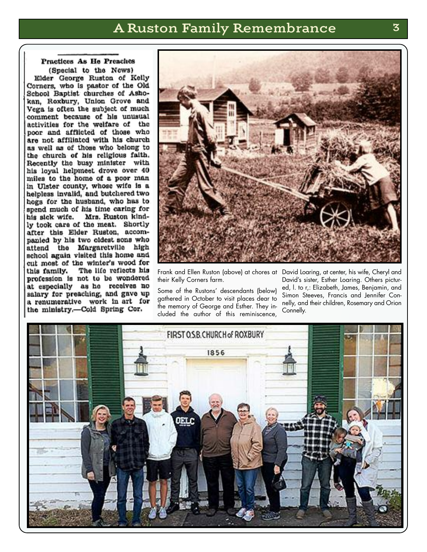## **A Ruston Family Remembrance 3**

#### Practices As He Preaches (Special to the News)

Elder George Ruston of Kelly Corners, who is pastor of the Old School Baptist churches of Ashokan, Roxbury, Union Grove and Vega is often the subject of much comment because of his unusual activities for the welfare of the poor and afflicted of those who are not affiliated with his church as well as of those who belong to the church of his religious faith. Recently the busy minister with his loyal helpmeet drove over 40 miles to the home of a poor man in Ulster county, whose wife is a helpless invalid, and butchered two hogs for the husband, who has to spend much of his time caring for Mrs. Ruston kindhis sick wife. ly took care of the meat. Shortly after this Elder Ruston, accompanied by his two oldest sons who attend the Margaretville high school again visited this home and cut most of the winter's wood for The life reflects his this family. profession is not to be wondered at especially as he receives no salary for preaching, and gave up a renumerative work in art for the ministry.--Cold Spring Cor.



Frank and Ellen Ruston (above) at chores at David Loaring, at center, his wife, Cheryl and their Kelly Corners farm.

Some of the Rustons' descendants (below) gathered in October to visit places dear to the memory of George and Esther. They included the author of this reminiscence,

David's sister, Esther Loaring. Others pictured, l. to r,: Elizabeth, James, Benjamin, and Simon Steeves, Francis and Jennifer Connelly, and their children, Rosemary and Orion Connelly.

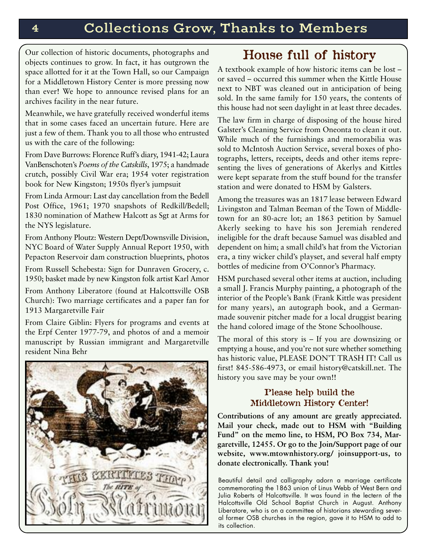Our collection of historic documents, photographs and objects continues to grow. In fact, it has outgrown the space allotted for it at the Town Hall, so our Campaign for a Middletown History Center is more pressing now than ever! We hope to announce revised plans for an archives facility in the near future.

Meanwhile, we have gratefully received wonderful items that in some cases faced an uncertain future. Here are just a few of them. Thank you to all those who entrusted us with the care of the following:

From Dave Burrows: Florence Ruff's diary, 1941-42; Laura VanBenschoten's *Poems of the Catskills*, 1975; a handmade crutch, possibly Civil War era; 1954 voter registration book for New Kingston; 1950s flyer's jumpsuit

From Linda Armour: Last day cancellation from the Bedell Post Office, 1961; 1970 snapshots of Redkill/Bedell; 1830 nomination of Mathew Halcott as Sgt at Arms for the NYS legislature.

From Anthony Ploutz: Western Dept/Downsville Division, NYC Board of Water Supply Annual Report 1950, with Pepacton Reservoir dam construction blueprints, photos

From Russell Schebesta: Sign for Dunraven Grocery, c. 1950; basket made by new Kingston folk artist Karl Amor

From Anthony Liberatore (found at Halcottsville OSB Church): Two marriage certificates and a paper fan for 1913 Margaretville Fair

From Claire Giblin: Flyers for programs and events at the Erpf Center 1977-79, and photos of and a memoir manuscript by Russian immigrant and Margaretville resident Nina Behr



# **House full of history**

A textbook example of how historic items can be lost – or saved – occurred this summer when the Kittle House next to NBT was cleaned out in anticipation of being sold. In the same family for 150 years, the contents of this house had not seen daylight in at least three decades.

The law firm in charge of disposing of the house hired Galster's Cleaning Service from Oneonta to clean it out. While much of the furnishings and memorabilia was sold to McIntosh Auction Service, several boxes of photographs, letters, receipts, deeds and other items representing the lives of generations of Akerlys and Kittles were kept separate from the stuff bound for the transfer station and were donated to HSM by Galsters.

Among the treasures was an 1817 lease between Edward Livingston and Talman Beeman of the Town of Middletown for an 80-acre lot; an 1863 petition by Samuel Akerly seeking to have his son Jeremiah rendered ineligible for the draft because Samuel was disabled and dependent on him; a small child's hat from the Victorian era, a tiny wicker child's playset, and several half empty bottles of medicine from O'Connor's Pharmacy.

HSM purchased several other items at auction, including a small J. Francis Murphy painting, a photograph of the interior of the People's Bank (Frank Kittle was president for many years), an autograph book, and a Germanmade souvenir pitcher made for a local druggist bearing the hand colored image of the Stone Schoolhouse.

The moral of this story is – If you are downsizing or emptying a house, and you're not sure whether something has historic value, PLEASE DON'T TRASH IT! Call us first! 845-586-4973, or email history@catskill.net. The history you save may be your own!!

## **Please help build the Middletown History Center!**

**Contributions of any amount are greatly appreciated. Mail your check, made out to HSM with "Building Fund" on the memo line, to HSM, PO Box 734, Margaretville, 12455. Or go to the Join/Support page of our website, www.mtownhistory.org/ joinsupport-us, to donate electronically. Thank you!**

Beautiful detail and calligraphy adorn a marriage certificate commemorating the 1863 union of Linus Webb of West Bern and Julia Roberts of Halcottsville. It was found in the lectern of the Halcottsville Old School Baptist Church in August. Anthony Liberatore, who is on a committee of historians stewarding several former OSB churches in the region, gave it to HSM to add to its collection.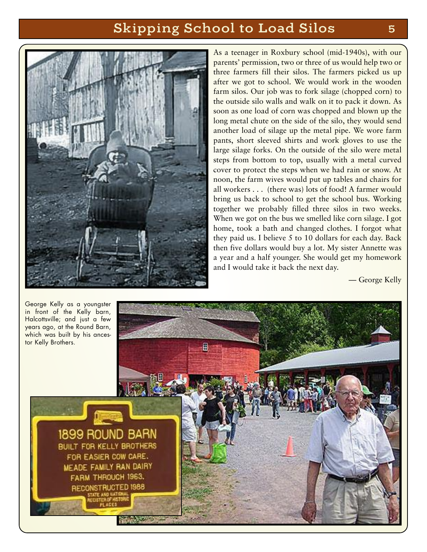# **Skipping School to Load Silos 5**



As a teenager in Roxbury school (mid-1940s), with our parents' permission, two or three of us would help two or three farmers fill their silos. The farmers picked us up after we got to school. We would work in the wooden farm silos. Our job was to fork silage (chopped corn) to the outside silo walls and walk on it to pack it down. As soon as one load of corn was chopped and blown up the long metal chute on the side of the silo, they would send another load of silage up the metal pipe. We wore farm pants, short sleeved shirts and work gloves to use the large silage forks. On the outside of the silo were metal steps from bottom to top, usually with a metal curved cover to protect the steps when we had rain or snow. At noon, the farm wives would put up tables and chairs for all workers . . . (there was) lots of food! A farmer would bring us back to school to get the school bus. Working together we probably filled three silos in two weeks. When we got on the bus we smelled like corn silage. I got home, took a bath and changed clothes. I forgot what they paid us. I believe 5 to 10 dollars for each day. Back then five dollars would buy a lot. My sister Annette was a year and a half younger. She would get my homework and I would take it back the next day.

— George Kelly

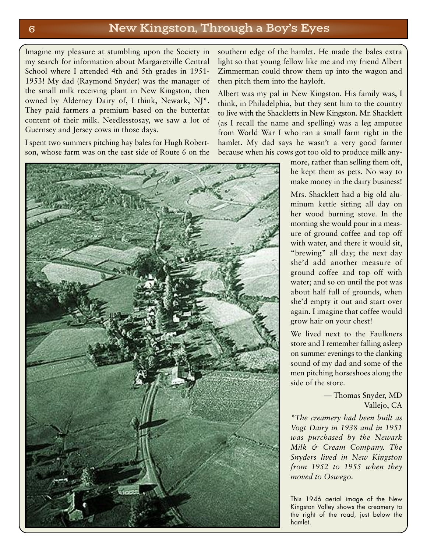## **6 New Kingston, Through a Boy's Eyes**

Imagine my pleasure at stumbling upon the Society in my search for information about Margaretville Central School where I attended 4th and 5th grades in 1951- 1953! My dad (Raymond Snyder) was the manager of the small milk receiving plant in New Kingston, then owned by Alderney Dairy of, I think, Newark, NJ\*. They paid farmers a premium based on the butterfat content of their milk. Needlesstosay, we saw a lot of Guernsey and Jersey cows in those days.

I spent two summers pitching hay bales for Hugh Robertson, whose farm was on the east side of Route 6 on the



southern edge of the hamlet. He made the bales extra light so that young fellow like me and my friend Albert Zimmerman could throw them up into the wagon and then pitch them into the hayloft.

Albert was my pal in New Kingston. His family was, I think, in Philadelphia, but they sent him to the country to live with the Shackletts in New Kingston. Mr. Shacklett (as I recall the name and spelling) was a leg amputee from World War I who ran a small farm right in the hamlet. My dad says he wasn't a very good farmer because when his cows got too old to produce milk any-

> more, rather than selling them off, he kept them as pets. No way to make money in the dairy business!

> Mrs. Shacklett had a big old aluminum kettle sitting all day on her wood burning stove. In the morning she would pour in a measure of ground coffee and top off with water, and there it would sit, "brewing" all day; the next day she'd add another measure of ground coffee and top off with water; and so on until the pot was about half full of grounds, when she'd empty it out and start over again. I imagine that coffee would grow hair on your chest!

> We lived next to the Faulkners store and I remember falling asleep on summer evenings to the clanking sound of my dad and some of the men pitching horseshoes along the side of the store.

> > — Thomas Snyder, MD Vallejo, CA

*\*The creamery had been built as Vogt Dairy in 1938 and in 1951 was purchased by the Newark Milk & Cream Company. The Snyders lived in New Kingston from 1952 to 1955 when they moved to Oswego.*

This 1946 aerial image of the New Kingston Valley shows the creamery to the right of the road, just below the hamlet.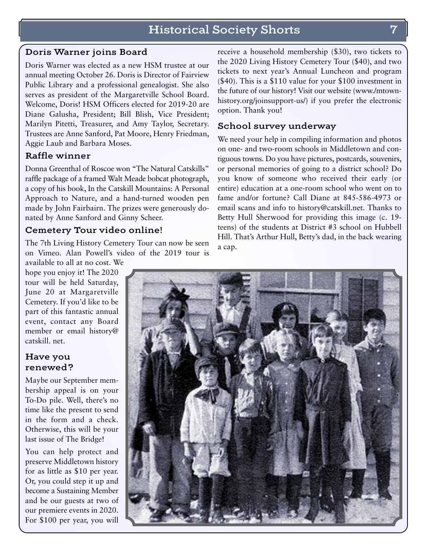## **Historical Society Shorts 7**

## **Doris Warner joins Board**

Doris Warner was elected as a new HSM trustee at our annual meeting October 26. Doris is Director of Fairview Public Library and a professional genealogist. She also serves as president of the Margaretville School Board. Welcome, Doris! HSM Officers elected for 2019-20 are Diane Galusha, President; Bill Blish, Vice President; Marilyn Pitetti, Treasurer, and Amy Taylor, Secretary. Trustees are Anne Sanford, Pat Moore, Henry Friedman, Aggie Laub and Barbara Moses.

## **Raffle winner**

Donna Greenthal of Roscoe won "The Natural Catskills" raffle package of a framed Walt Meade bobcat photograph, a copy of his book, In the Catskill Mountains: A Personal Approach to Nature, and a hand-turned wooden pen made by John Fairbairn. The prizes were generously donated by Anne Sanford and Ginny Scheer.

### **Cemetery Tour video online!**

The 7th Living History Cemetery Tour can now be seen on Vimeo. Alan Powell's video of the 2019 tour is

available to all at no cost. We hope you enjoy it! The 2020 tour will be held Saturday, June 20 at Margaretville Cemetery. If you'd like to be part of this fantastic annual event, contact any Board member or email history@ catskill. net.

## **Have you renewed?**

Maybe our September membership appeal is on your To-Do pile. Well, there's no time like the present to send in the form and a check. Otherwise, this will be your last issue of The Bridge!

You can help protect and preserve Middletown history for as little as \$10 per year. Or, you could step it up and become a Sustaining Member and be our guests at two of our premiere events in 2020. For \$100 per year, you will

receive a household membership (\$30), two tickets to the 2020 Living History Cemetery Tour (\$40), and two tickets to next year's Annual Luncheon and program (\$40). This is a \$110 value for your \$100 investment in the future of our history! Visit our website (www./mtownhistory.org/joinsupport-us/) if you prefer the electronic option. Thank you!

## **School survey underway**

We need your help in compiling information and photos on one- and two-room schools in Middletown and contiguous towns. Do you have pictures, postcards, souvenirs, or personal memories of going to a district school? Do you know of someone who received their early (or entire) education at a one-room school who went on to fame and/or fortune? Call Diane at 845-586-4973 or email scans and info to history@catskill.net. Thanks to Betty Hull Sherwood for providing this image (c. 19 teens) of the students at District #3 school on Hubbell Hill. That's Arthur Hull, Betty's dad, in the back wearing a cap.